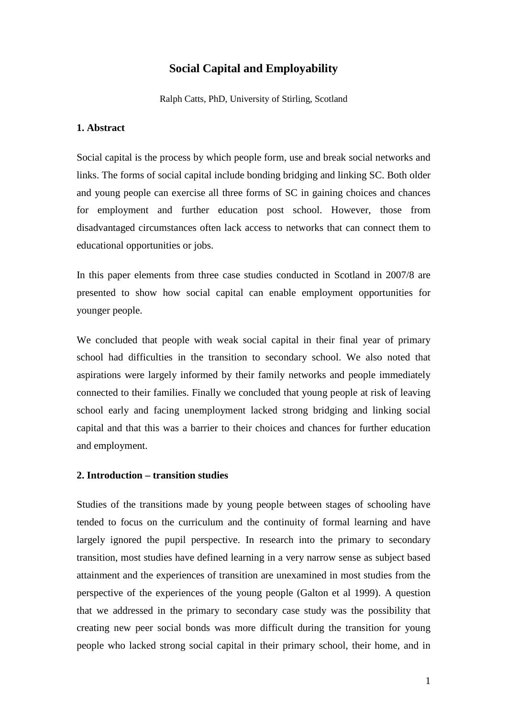# **Social Capital and Employability**

Ralph Catts, PhD, University of Stirling, Scotland

## **1. Abstract**

Social capital is the process by which people form, use and break social networks and links. The forms of social capital include bonding bridging and linking SC. Both older and young people can exercise all three forms of SC in gaining choices and chances for employment and further education post school. However, those from disadvantaged circumstances often lack access to networks that can connect them to educational opportunities or jobs.

In this paper elements from three case studies conducted in Scotland in 2007/8 are presented to show how social capital can enable employment opportunities for younger people.

We concluded that people with weak social capital in their final year of primary school had difficulties in the transition to secondary school. We also noted that aspirations were largely informed by their family networks and people immediately connected to their families. Finally we concluded that young people at risk of leaving school early and facing unemployment lacked strong bridging and linking social capital and that this was a barrier to their choices and chances for further education and employment.

#### **2. Introduction – transition studies**

Studies of the transitions made by young people between stages of schooling have tended to focus on the curriculum and the continuity of formal learning and have largely ignored the pupil perspective. In research into the primary to secondary transition, most studies have defined learning in a very narrow sense as subject based attainment and the experiences of transition are unexamined in most studies from the perspective of the experiences of the young people (Galton et al 1999). A question that we addressed in the primary to secondary case study was the possibility that creating new peer social bonds was more difficult during the transition for young people who lacked strong social capital in their primary school, their home, and in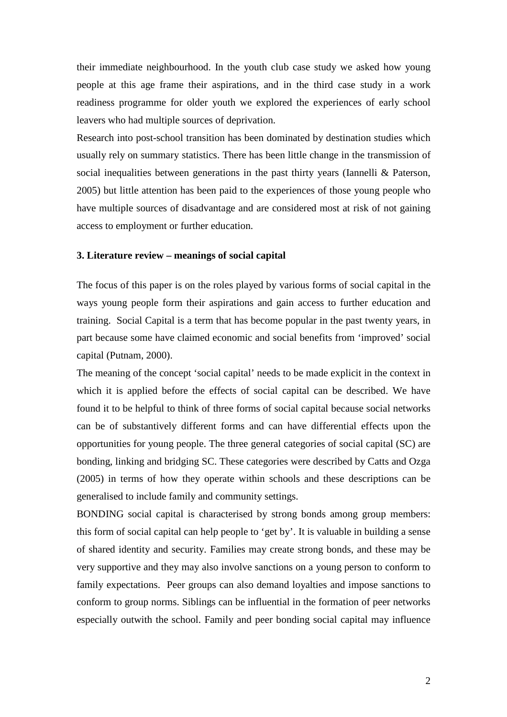their immediate neighbourhood. In the youth club case study we asked how young people at this age frame their aspirations, and in the third case study in a work readiness programme for older youth we explored the experiences of early school leavers who had multiple sources of deprivation.

Research into post-school transition has been dominated by destination studies which usually rely on summary statistics. There has been little change in the transmission of social inequalities between generations in the past thirty years (Iannelli & Paterson, 2005) but little attention has been paid to the experiences of those young people who have multiple sources of disadvantage and are considered most at risk of not gaining access to employment or further education.

## **3. Literature review – meanings of social capital**

The focus of this paper is on the roles played by various forms of social capital in the ways young people form their aspirations and gain access to further education and training. Social Capital is a term that has become popular in the past twenty years, in part because some have claimed economic and social benefits from 'improved' social capital (Putnam, 2000).

The meaning of the concept 'social capital' needs to be made explicit in the context in which it is applied before the effects of social capital can be described. We have found it to be helpful to think of three forms of social capital because social networks can be of substantively different forms and can have differential effects upon the opportunities for young people. The three general categories of social capital (SC) are bonding, linking and bridging SC. These categories were described by Catts and Ozga (2005) in terms of how they operate within schools and these descriptions can be generalised to include family and community settings.

BONDING social capital is characterised by strong bonds among group members: this form of social capital can help people to 'get by'. It is valuable in building a sense of shared identity and security. Families may create strong bonds, and these may be very supportive and they may also involve sanctions on a young person to conform to family expectations. Peer groups can also demand loyalties and impose sanctions to conform to group norms. Siblings can be influential in the formation of peer networks especially outwith the school. Family and peer bonding social capital may influence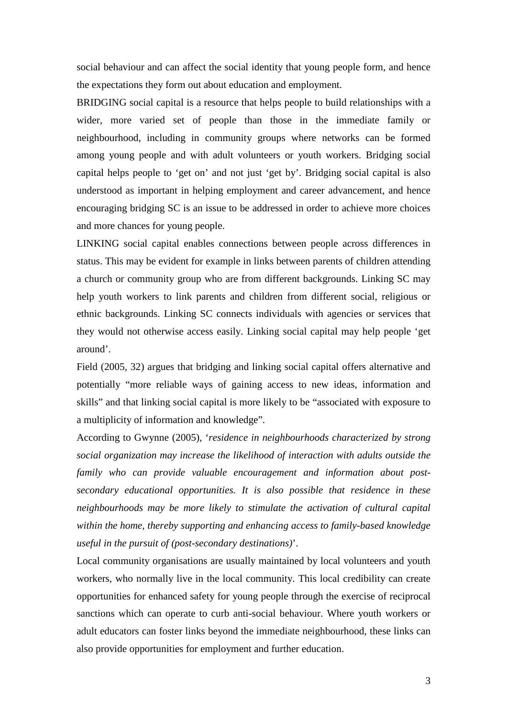social behaviour and can affect the social identity that young people form, and hence the expectations they form out about education and employment.

BRIDGING social capital is a resource that helps people to build relationships with a wider, more varied set of people than those in the immediate family or neighbourhood, including in community groups where networks can be formed among young people and with adult volunteers or youth workers. Bridging social capital helps people to 'get on' and not just 'get by'. Bridging social capital is also understood as important in helping employment and career advancement, and hence encouraging bridging SC is an issue to be addressed in order to achieve more choices and more chances for young people.

LINKING social capital enables connections between people across differences in status. This may be evident for example in links between parents of children attending a church or community group who are from different backgrounds. Linking SC may help youth workers to link parents and children from different social, religious or ethnic backgrounds. Linking SC connects individuals with agencies or services that they would not otherwise access easily. Linking social capital may help people 'get around'.

Field (2005, 32) argues that bridging and linking social capital offers alternative and potentially "more reliable ways of gaining access to new ideas, information and skills" and that linking social capital is more likely to be "associated with exposure to a multiplicity of information and knowledge".

According to Gwynne (2005), '*residence in neighbourhoods characterized by strong social organization may increase the likelihood of interaction with adults outside the family who can provide valuable encouragement and information about postsecondary educational opportunities. It is also possible that residence in these neighbourhoods may be more likely to stimulate the activation of cultural capital within the home, thereby supporting and enhancing access to family-based knowledge useful in the pursuit of (post-secondary destinations)*'.

Local community organisations are usually maintained by local volunteers and youth workers, who normally live in the local community. This local credibility can create opportunities for enhanced safety for young people through the exercise of reciprocal sanctions which can operate to curb anti-social behaviour. Where youth workers or adult educators can foster links beyond the immediate neighbourhood, these links can also provide opportunities for employment and further education.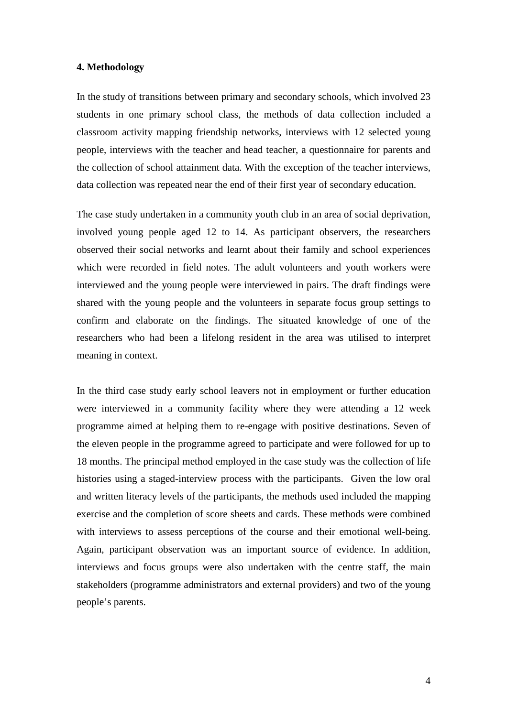## **4. Methodology**

In the study of transitions between primary and secondary schools, which involved 23 students in one primary school class, the methods of data collection included a classroom activity mapping friendship networks, interviews with 12 selected young people, interviews with the teacher and head teacher, a questionnaire for parents and the collection of school attainment data. With the exception of the teacher interviews, data collection was repeated near the end of their first year of secondary education.

The case study undertaken in a community youth club in an area of social deprivation, involved young people aged 12 to 14. As participant observers, the researchers observed their social networks and learnt about their family and school experiences which were recorded in field notes. The adult volunteers and youth workers were interviewed and the young people were interviewed in pairs. The draft findings were shared with the young people and the volunteers in separate focus group settings to confirm and elaborate on the findings. The situated knowledge of one of the researchers who had been a lifelong resident in the area was utilised to interpret meaning in context.

In the third case study early school leavers not in employment or further education were interviewed in a community facility where they were attending a 12 week programme aimed at helping them to re-engage with positive destinations. Seven of the eleven people in the programme agreed to participate and were followed for up to 18 months. The principal method employed in the case study was the collection of life histories using a staged-interview process with the participants. Given the low oral and written literacy levels of the participants, the methods used included the mapping exercise and the completion of score sheets and cards. These methods were combined with interviews to assess perceptions of the course and their emotional well-being. Again, participant observation was an important source of evidence. In addition, interviews and focus groups were also undertaken with the centre staff, the main stakeholders (programme administrators and external providers) and two of the young people's parents.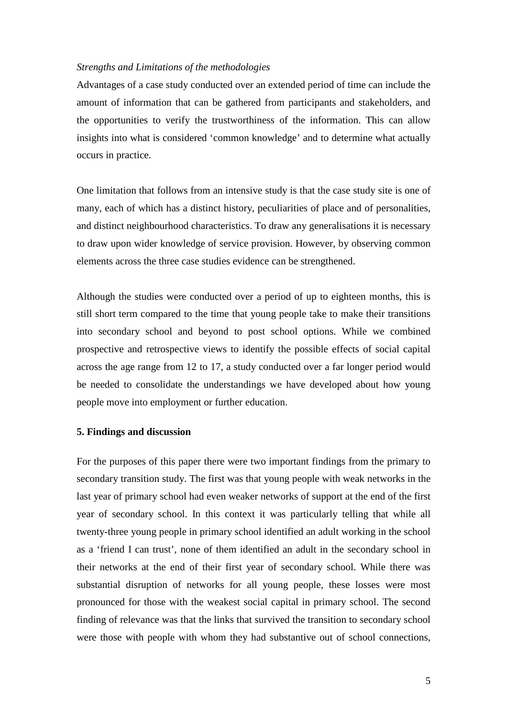## *Strengths and Limitations of the methodologies*

Advantages of a case study conducted over an extended period of time can include the amount of information that can be gathered from participants and stakeholders, and the opportunities to verify the trustworthiness of the information. This can allow insights into what is considered 'common knowledge' and to determine what actually occurs in practice.

One limitation that follows from an intensive study is that the case study site is one of many, each of which has a distinct history, peculiarities of place and of personalities, and distinct neighbourhood characteristics. To draw any generalisations it is necessary to draw upon wider knowledge of service provision. However, by observing common elements across the three case studies evidence can be strengthened.

Although the studies were conducted over a period of up to eighteen months, this is still short term compared to the time that young people take to make their transitions into secondary school and beyond to post school options. While we combined prospective and retrospective views to identify the possible effects of social capital across the age range from 12 to 17, a study conducted over a far longer period would be needed to consolidate the understandings we have developed about how young people move into employment or further education.

## **5. Findings and discussion**

For the purposes of this paper there were two important findings from the primary to secondary transition study. The first was that young people with weak networks in the last year of primary school had even weaker networks of support at the end of the first year of secondary school. In this context it was particularly telling that while all twenty-three young people in primary school identified an adult working in the school as a 'friend I can trust', none of them identified an adult in the secondary school in their networks at the end of their first year of secondary school. While there was substantial disruption of networks for all young people, these losses were most pronounced for those with the weakest social capital in primary school. The second finding of relevance was that the links that survived the transition to secondary school were those with people with whom they had substantive out of school connections,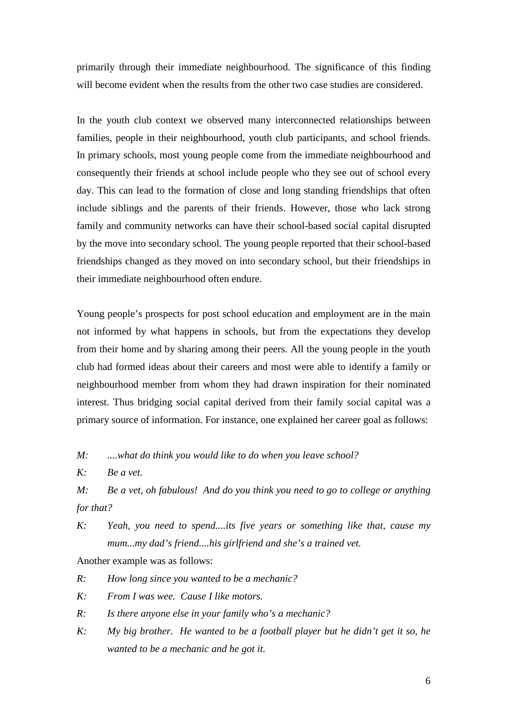primarily through their immediate neighbourhood. The significance of this finding will become evident when the results from the other two case studies are considered.

In the youth club context we observed many interconnected relationships between families, people in their neighbourhood, youth club participants, and school friends. In primary schools, most young people come from the immediate neighbourhood and consequently their friends at school include people who they see out of school every day. This can lead to the formation of close and long standing friendships that often include siblings and the parents of their friends. However, those who lack strong family and community networks can have their school-based social capital disrupted by the move into secondary school. The young people reported that their school-based friendships changed as they moved on into secondary school, but their friendships in their immediate neighbourhood often endure.

Young people's prospects for post school education and employment are in the main not informed by what happens in schools, but from the expectations they develop from their home and by sharing among their peers. All the young people in the youth club had formed ideas about their careers and most were able to identify a family or neighbourhood member from whom they had drawn inspiration for their nominated interest. Thus bridging social capital derived from their family social capital was a primary source of information. For instance, one explained her career goal as follows:

*M: ....what do think you would like to do when you leave school?* 

*K: Be a vet.* 

*M: Be a vet, oh fabulous! And do you think you need to go to college or anything for that?* 

*K: Yeah, you need to spend....its five years or something like that, cause my mum...my dad's friend....his girlfriend and she's a trained vet.* 

Another example was as follows:

*R: How long since you wanted to be a mechanic?* 

*K: From I was wee. Cause I like motors.* 

*R: Is there anyone else in your family who's a mechanic?* 

*K: My big brother. He wanted to be a football player but he didn't get it so, he wanted to be a mechanic and he got it.*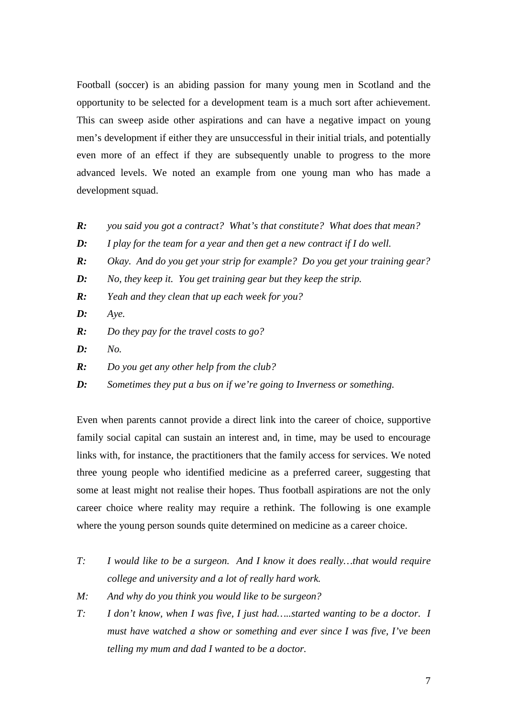Football (soccer) is an abiding passion for many young men in Scotland and the opportunity to be selected for a development team is a much sort after achievement. This can sweep aside other aspirations and can have a negative impact on young men's development if either they are unsuccessful in their initial trials, and potentially even more of an effect if they are subsequently unable to progress to the more advanced levels. We noted an example from one young man who has made a development squad.

- *R: you said you got a contract? What's that constitute? What does that mean?*
- *D: I play for the team for a year and then get a new contract if I do well.*
- *R: Okay. And do you get your strip for example? Do you get your training gear?*
- *D: No, they keep it. You get training gear but they keep the strip.*
- *R: Yeah and they clean that up each week for you?*
- *D: Aye.*
- *R: Do they pay for the travel costs to go?*
- *D: No.*
- *R: Do you get any other help from the club?*
- *D: Sometimes they put a bus on if we're going to Inverness or something.*

Even when parents cannot provide a direct link into the career of choice, supportive family social capital can sustain an interest and, in time, may be used to encourage links with, for instance, the practitioners that the family access for services. We noted three young people who identified medicine as a preferred career, suggesting that some at least might not realise their hopes. Thus football aspirations are not the only career choice where reality may require a rethink. The following is one example where the young person sounds quite determined on medicine as a career choice.

- *T: I would like to be a surgeon. And I know it does really…that would require college and university and a lot of really hard work.*
- *M: And why do you think you would like to be surgeon?*
- *T: I don't know, when I was five, I just had…..started wanting to be a doctor. I must have watched a show or something and ever since I was five, I've been telling my mum and dad I wanted to be a doctor.*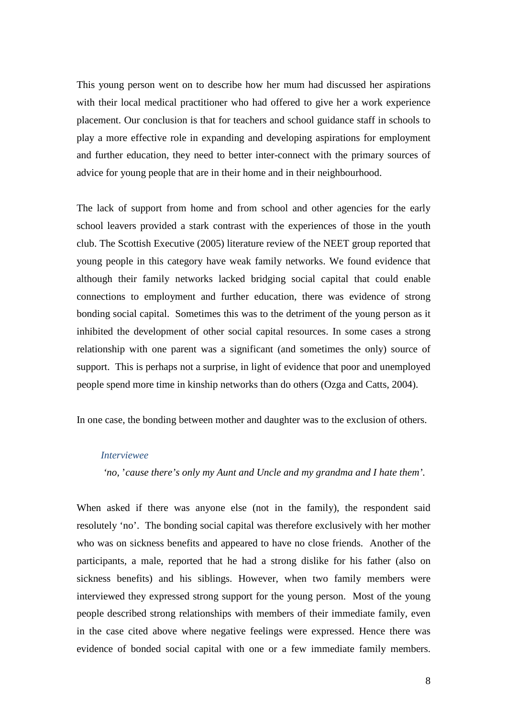This young person went on to describe how her mum had discussed her aspirations with their local medical practitioner who had offered to give her a work experience placement. Our conclusion is that for teachers and school guidance staff in schools to play a more effective role in expanding and developing aspirations for employment and further education, they need to better inter-connect with the primary sources of advice for young people that are in their home and in their neighbourhood.

The lack of support from home and from school and other agencies for the early school leavers provided a stark contrast with the experiences of those in the youth club. The Scottish Executive (2005) literature review of the NEET group reported that young people in this category have weak family networks. We found evidence that although their family networks lacked bridging social capital that could enable connections to employment and further education, there was evidence of strong bonding social capital. Sometimes this was to the detriment of the young person as it inhibited the development of other social capital resources. In some cases a strong relationship with one parent was a significant (and sometimes the only) source of support. This is perhaps not a surprise, in light of evidence that poor and unemployed people spend more time in kinship networks than do others (Ozga and Catts, 2004).

In one case, the bonding between mother and daughter was to the exclusion of others.

#### *Interviewee*

 *'no,* '*cause there's only my Aunt and Uncle and my grandma and I hate them'.* 

When asked if there was anyone else (not in the family), the respondent said resolutely 'no'. The bonding social capital was therefore exclusively with her mother who was on sickness benefits and appeared to have no close friends. Another of the participants, a male, reported that he had a strong dislike for his father (also on sickness benefits) and his siblings. However, when two family members were interviewed they expressed strong support for the young person. Most of the young people described strong relationships with members of their immediate family, even in the case cited above where negative feelings were expressed. Hence there was evidence of bonded social capital with one or a few immediate family members.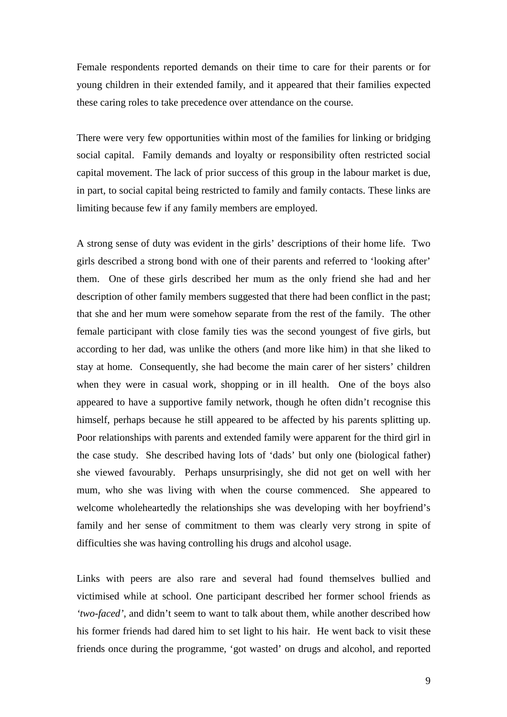Female respondents reported demands on their time to care for their parents or for young children in their extended family, and it appeared that their families expected these caring roles to take precedence over attendance on the course.

There were very few opportunities within most of the families for linking or bridging social capital. Family demands and loyalty or responsibility often restricted social capital movement. The lack of prior success of this group in the labour market is due, in part, to social capital being restricted to family and family contacts. These links are limiting because few if any family members are employed.

A strong sense of duty was evident in the girls' descriptions of their home life. Two girls described a strong bond with one of their parents and referred to 'looking after' them. One of these girls described her mum as the only friend she had and her description of other family members suggested that there had been conflict in the past; that she and her mum were somehow separate from the rest of the family. The other female participant with close family ties was the second youngest of five girls, but according to her dad, was unlike the others (and more like him) in that she liked to stay at home. Consequently, she had become the main carer of her sisters' children when they were in casual work, shopping or in ill health. One of the boys also appeared to have a supportive family network, though he often didn't recognise this himself, perhaps because he still appeared to be affected by his parents splitting up. Poor relationships with parents and extended family were apparent for the third girl in the case study. She described having lots of 'dads' but only one (biological father) she viewed favourably. Perhaps unsurprisingly, she did not get on well with her mum, who she was living with when the course commenced. She appeared to welcome wholeheartedly the relationships she was developing with her boyfriend's family and her sense of commitment to them was clearly very strong in spite of difficulties she was having controlling his drugs and alcohol usage.

Links with peers are also rare and several had found themselves bullied and victimised while at school. One participant described her former school friends as *'two-faced'*, and didn't seem to want to talk about them, while another described how his former friends had dared him to set light to his hair. He went back to visit these friends once during the programme, 'got wasted' on drugs and alcohol, and reported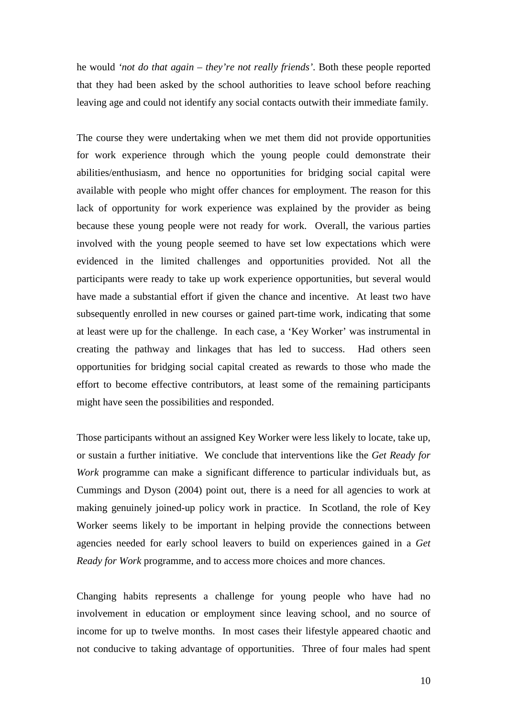he would *'not do that again – they're not really friends'*. Both these people reported that they had been asked by the school authorities to leave school before reaching leaving age and could not identify any social contacts outwith their immediate family.

The course they were undertaking when we met them did not provide opportunities for work experience through which the young people could demonstrate their abilities/enthusiasm, and hence no opportunities for bridging social capital were available with people who might offer chances for employment. The reason for this lack of opportunity for work experience was explained by the provider as being because these young people were not ready for work. Overall, the various parties involved with the young people seemed to have set low expectations which were evidenced in the limited challenges and opportunities provided. Not all the participants were ready to take up work experience opportunities, but several would have made a substantial effort if given the chance and incentive. At least two have subsequently enrolled in new courses or gained part-time work, indicating that some at least were up for the challenge. In each case, a 'Key Worker' was instrumental in creating the pathway and linkages that has led to success. Had others seen opportunities for bridging social capital created as rewards to those who made the effort to become effective contributors, at least some of the remaining participants might have seen the possibilities and responded.

Those participants without an assigned Key Worker were less likely to locate, take up, or sustain a further initiative. We conclude that interventions like the *Get Ready for Work* programme can make a significant difference to particular individuals but, as Cummings and Dyson (2004) point out, there is a need for all agencies to work at making genuinely joined-up policy work in practice. In Scotland, the role of Key Worker seems likely to be important in helping provide the connections between agencies needed for early school leavers to build on experiences gained in a *Get Ready for Work* programme, and to access more choices and more chances.

Changing habits represents a challenge for young people who have had no involvement in education or employment since leaving school, and no source of income for up to twelve months. In most cases their lifestyle appeared chaotic and not conducive to taking advantage of opportunities. Three of four males had spent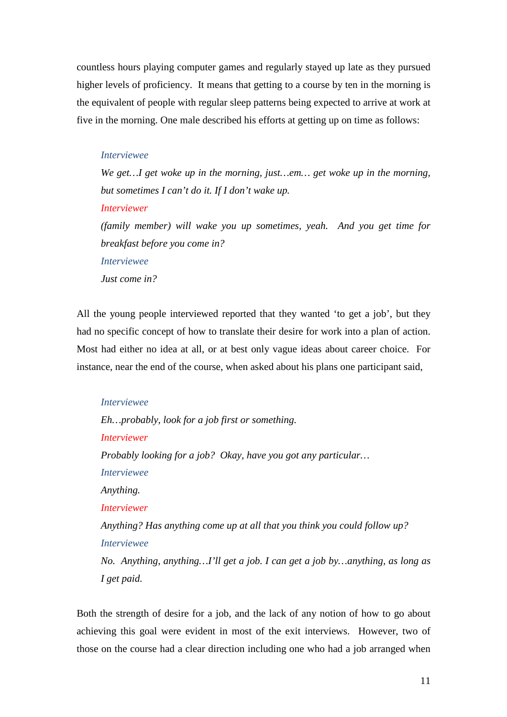countless hours playing computer games and regularly stayed up late as they pursued higher levels of proficiency. It means that getting to a course by ten in the morning is the equivalent of people with regular sleep patterns being expected to arrive at work at five in the morning. One male described his efforts at getting up on time as follows:

#### *Interviewee*

*We get…I get woke up in the morning, just…em… get woke up in the morning, but sometimes I can't do it. If I don't wake up. Interviewer (family member) will wake you up sometimes, yeah. And you get time for breakfast before you come in? Interviewee Just come in?* 

All the young people interviewed reported that they wanted 'to get a job', but they had no specific concept of how to translate their desire for work into a plan of action. Most had either no idea at all, or at best only vague ideas about career choice. For instance, near the end of the course, when asked about his plans one participant said,

*Interviewee Eh…probably, look for a job first or something. Interviewer Probably looking for a job? Okay, have you got any particular… Interviewee Anything. Interviewer Anything? Has anything come up at all that you think you could follow up? Interviewee No. Anything, anything…I'll get a job. I can get a job by…anything, as long as I get paid.* 

Both the strength of desire for a job, and the lack of any notion of how to go about achieving this goal were evident in most of the exit interviews. However, two of those on the course had a clear direction including one who had a job arranged when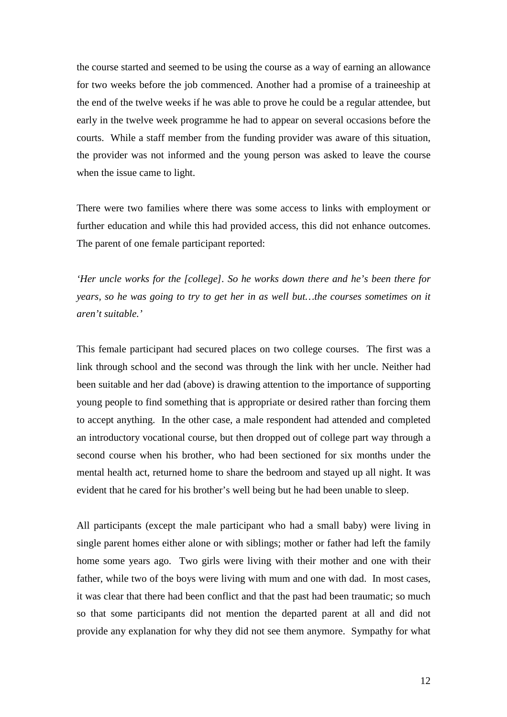the course started and seemed to be using the course as a way of earning an allowance for two weeks before the job commenced. Another had a promise of a traineeship at the end of the twelve weeks if he was able to prove he could be a regular attendee, but early in the twelve week programme he had to appear on several occasions before the courts. While a staff member from the funding provider was aware of this situation, the provider was not informed and the young person was asked to leave the course when the issue came to light.

There were two families where there was some access to links with employment or further education and while this had provided access, this did not enhance outcomes. The parent of one female participant reported:

*'Her uncle works for the [college]. So he works down there and he's been there for years, so he was going to try to get her in as well but…the courses sometimes on it aren't suitable.'* 

This female participant had secured places on two college courses. The first was a link through school and the second was through the link with her uncle. Neither had been suitable and her dad (above) is drawing attention to the importance of supporting young people to find something that is appropriate or desired rather than forcing them to accept anything. In the other case, a male respondent had attended and completed an introductory vocational course, but then dropped out of college part way through a second course when his brother, who had been sectioned for six months under the mental health act, returned home to share the bedroom and stayed up all night. It was evident that he cared for his brother's well being but he had been unable to sleep.

All participants (except the male participant who had a small baby) were living in single parent homes either alone or with siblings; mother or father had left the family home some years ago. Two girls were living with their mother and one with their father, while two of the boys were living with mum and one with dad. In most cases, it was clear that there had been conflict and that the past had been traumatic; so much so that some participants did not mention the departed parent at all and did not provide any explanation for why they did not see them anymore. Sympathy for what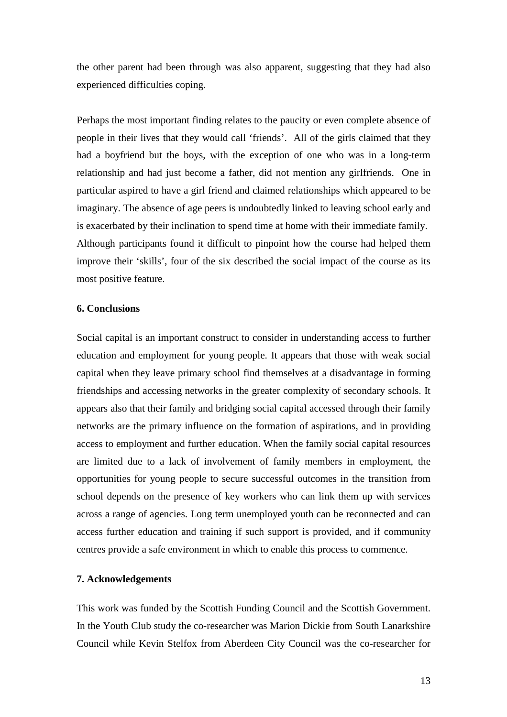the other parent had been through was also apparent, suggesting that they had also experienced difficulties coping.

Perhaps the most important finding relates to the paucity or even complete absence of people in their lives that they would call 'friends'. All of the girls claimed that they had a boyfriend but the boys, with the exception of one who was in a long-term relationship and had just become a father, did not mention any girlfriends. One in particular aspired to have a girl friend and claimed relationships which appeared to be imaginary. The absence of age peers is undoubtedly linked to leaving school early and is exacerbated by their inclination to spend time at home with their immediate family. Although participants found it difficult to pinpoint how the course had helped them improve their 'skills', four of the six described the social impact of the course as its most positive feature.

#### **6. Conclusions**

Social capital is an important construct to consider in understanding access to further education and employment for young people. It appears that those with weak social capital when they leave primary school find themselves at a disadvantage in forming friendships and accessing networks in the greater complexity of secondary schools. It appears also that their family and bridging social capital accessed through their family networks are the primary influence on the formation of aspirations, and in providing access to employment and further education. When the family social capital resources are limited due to a lack of involvement of family members in employment, the opportunities for young people to secure successful outcomes in the transition from school depends on the presence of key workers who can link them up with services across a range of agencies. Long term unemployed youth can be reconnected and can access further education and training if such support is provided, and if community centres provide a safe environment in which to enable this process to commence.

## **7. Acknowledgements**

This work was funded by the Scottish Funding Council and the Scottish Government. In the Youth Club study the co-researcher was Marion Dickie from South Lanarkshire Council while Kevin Stelfox from Aberdeen City Council was the co-researcher for